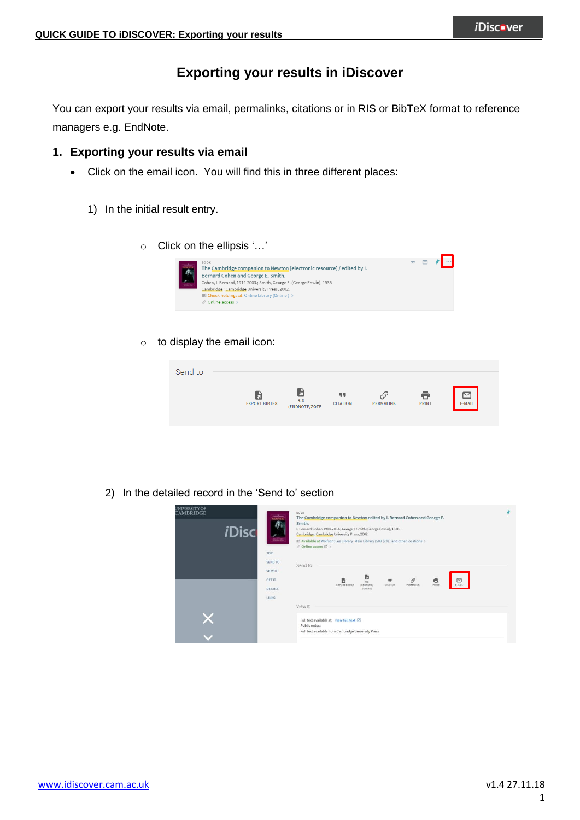# **Exporting your results in iDiscover**

You can export your results via email, permalinks, citations or in RIS or BibTeX format to reference managers e.g. EndNote.

## **1. Exporting your results via email**

- Click on the email icon. You will find this in three different places:
	- 1) In the initial result entry.
		- o Click on the ellipsis '…'



o to display the email icon:

| Send to |                      |                                   |                       |           |              |        |
|---------|----------------------|-----------------------------------|-----------------------|-----------|--------------|--------|
|         |                      |                                   |                       |           |              |        |
|         | <b>EXPORT BIBTEX</b> | <b>EN</b><br>RIS<br>(ENDNOTE/ZOTE | 99<br><b>CITATION</b> | PERMALINK | <b>PRINT</b> | E-MAIL |
|         |                      |                                   |                       |           |              |        |

2) In the detailed record in the 'Send to' section

| <b>UNIVERSITY OF</b><br>CAMBRIDGE<br><i><b>iDisc</b></i> | <b>BOOK</b><br>$\frac{1}{\sin n \cos n}$<br>The Cambridge companion to Newton edited by I. Bernard Cohen and George E.<br>厚<br>Smith.<br>I. Bernard Cohen 1914-2003.; George E Smith (George Edwin), 1938-<br>Cambridge: Cambridge University Press, 2002.<br>$\overline{\ldots}$<br>IL! Available at Wolfson: Lee Library Main Library (509 (73) ) and other locations ><br>$\mathcal O$ Online access $\boxtimes$ ><br>TOP |  |
|----------------------------------------------------------|------------------------------------------------------------------------------------------------------------------------------------------------------------------------------------------------------------------------------------------------------------------------------------------------------------------------------------------------------------------------------------------------------------------------------|--|
|                                                          | SEND TO<br>Send to<br>VIEW IT<br>e<br>B<br>$\mathcal{O}$<br>$\hfill \Box$<br>B<br>ë<br><b>GET IT</b><br>99<br>E-MAIL<br>PRINT<br><b>EXPORT BIBTEX</b><br>(ENDNOTE/<br>PERMALINK<br>CITATION<br>ZOTERO)<br>DETAILS<br><b>LINKS</b>                                                                                                                                                                                            |  |
|                                                          | View It<br>Full text available at: view full text [2]<br>Public notes:<br>Full text available from Cambridge University Press                                                                                                                                                                                                                                                                                                |  |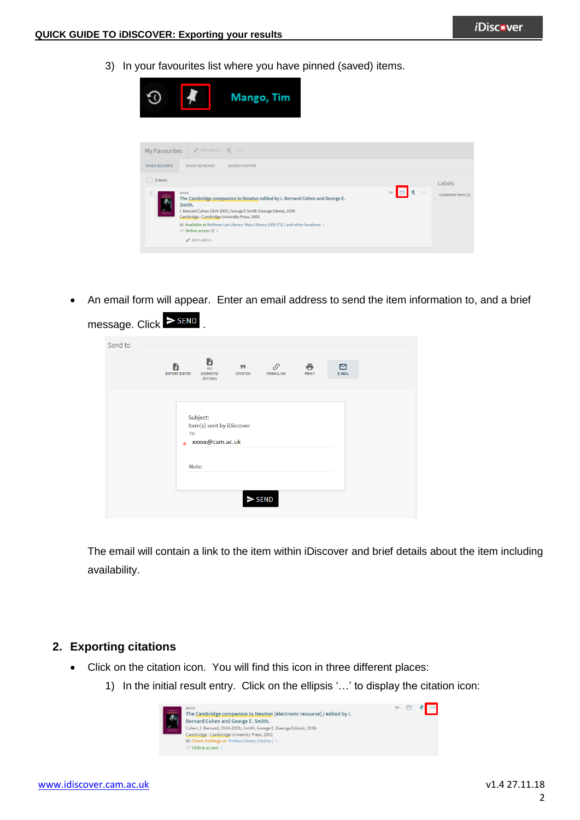**The Company of the Company** 

3) In your favourites list where you have pinned (saved) items.



• An email form will appear. Enter an email address to send the item information to, and a brief

| Send to | B                                                               |                                         |            |             |  |
|---------|-----------------------------------------------------------------|-----------------------------------------|------------|-------------|--|
|         | B<br><b>RIS</b><br><b>EXPORT BIBTEX</b><br>(ENDNOTE/<br>ZOTERO) | P<br>99<br><b>CITATION</b><br>PERMALINK | ē<br>PRINT | ⊠<br>E-MAIL |  |
|         |                                                                 |                                         |            |             |  |
|         | Subject:                                                        |                                         |            |             |  |
|         | Item(s) sent by iDiscover<br>To:<br>xxxxx@cam.ac.uk<br>$\star$  |                                         |            |             |  |
|         |                                                                 |                                         |            |             |  |
|         | Note:                                                           |                                         |            |             |  |
|         |                                                                 |                                         |            |             |  |

The email will contain a link to the item within iDiscover and brief details about the item including availability.

### **2. Exporting citations**

- Click on the citation icon. You will find this icon in three different places:
	- 1) In the initial result entry. Click on the ellipsis '…' to display the citation icon:

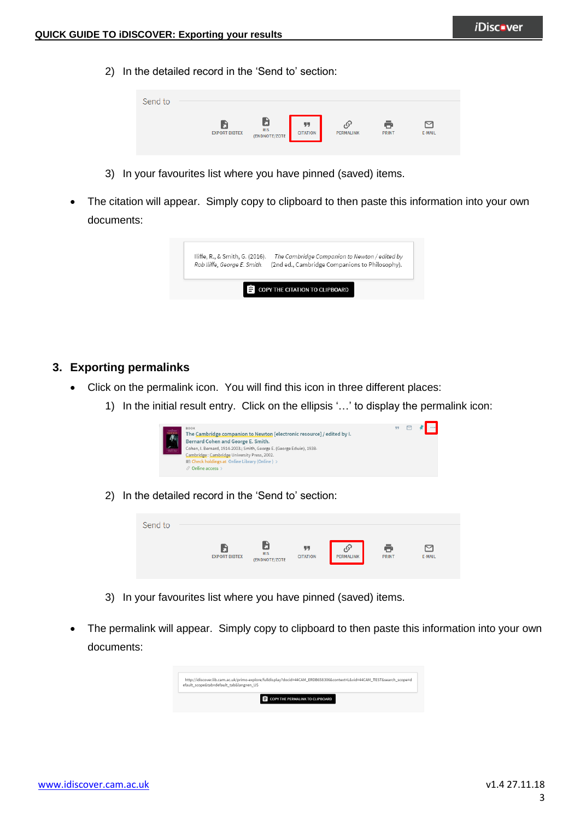2) In the detailed record in the 'Send to' section:

| Send to |                      |                             |                       |           |              |        |  |
|---------|----------------------|-----------------------------|-----------------------|-----------|--------------|--------|--|
|         |                      |                             |                       |           |              |        |  |
|         | <b>EXPORT BIBTEX</b> | <b>RIS</b><br>(ENDNOTE/ZOTE | 99<br><b>CITATION</b> | PERMALINK | <b>PRINT</b> | E-MAIL |  |

- 3) In your favourites list where you have pinned (saved) items.
- The citation will appear. Simply copy to clipboard to then paste this information into your own documents:

| Iliffe, R., & Smith, G. (2016). | The Cambridge Companion to Newton / edited by  |
|---------------------------------|------------------------------------------------|
| Rob Iliffe, George E. Smith.    | (2nd ed., Cambridge Companions to Philosophy). |
|                                 |                                                |

#### **3. Exporting permalinks**

- Click on the permalink icon. You will find this icon in three different places:
	- 1) In the initial result entry. Click on the ellipsis '…' to display the permalink icon:



2) In the detailed record in the 'Send to' section:

| Send to |                      |                             |                       |           |              |                       |
|---------|----------------------|-----------------------------|-----------------------|-----------|--------------|-----------------------|
|         | <b>EXPORT BIBTEX</b> | <b>RIS</b><br>(ENDNOTE/ZOTE | 99<br><b>CITATION</b> | PERMALINK | <b>PRINT</b> | $\check{ }$<br>E-MAIL |

- 3) In your favourites list where you have pinned (saved) items.
- The permalink will appear. Simply copy to clipboard to then paste this information into your own documents:

| http://idiscover.lib.cam.ac.uk/primo-explore/fulldisplay?docid=44CAM_ERDB658306&context=L&vid=44CAM_TEST&search_scope=d<br>efault scope&tab=default tab⟨=en US |
|----------------------------------------------------------------------------------------------------------------------------------------------------------------|
| COPY THE PERMALINK TO CLIPBOARD                                                                                                                                |